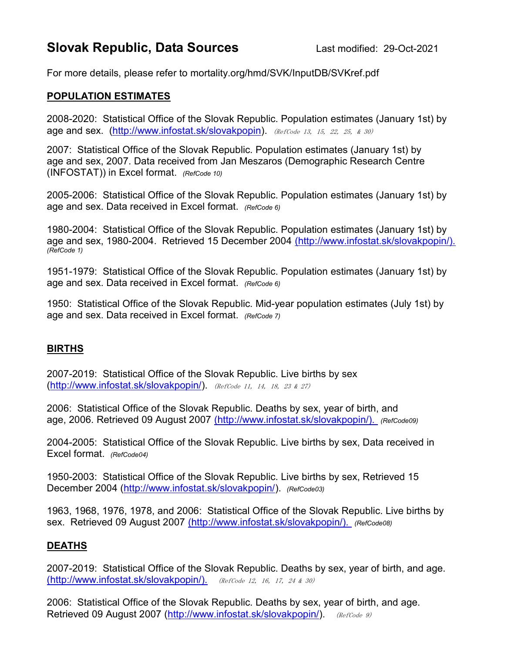## Slovak Republic, Data Sources Last modified: 29-Oct-2021

For more details, please refer to mortality.org/hmd/SVK/InputDB/SVKref.pdf

## POPULATION ESTIMATES

2008-2020: Statistical Office of the Slovak Republic. Population estimates (January 1st) by age and sex. (http://www.infostat.sk/slovakpopin). (RefCode 13, 15, 22, 25, & 30)

2007: Statistical Office of the Slovak Republic. Population estimates (January 1st) by age and sex, 2007. Data received from Jan Meszaros (Demographic Research Centre (INFOSTAT)) in Excel format. (RefCode 10)

2005-2006: Statistical Office of the Slovak Republic. Population estimates (January 1st) by age and sex. Data received in Excel format. (RefCode 6)

1980-2004: Statistical Office of the Slovak Republic. Population estimates (January 1st) by age and sex, 1980-2004. Retrieved 15 December 2004 (http://www.infostat.sk/slovakpopin/). (RefCode 1)

1951-1979: Statistical Office of the Slovak Republic. Population estimates (January 1st) by age and sex. Data received in Excel format. (RefCode 6)

1950: Statistical Office of the Slovak Republic. Mid-year population estimates (July 1st) by age and sex. Data received in Excel format. (RefCode 7)

## BIRTHS

2007-2019: Statistical Office of the Slovak Republic. Live births by sex  $(http://www.infostat.sk/slovakpopin/).$  (RefCode 11, 14, 18, 23 & 27)

2006: Statistical Office of the Slovak Republic. Deaths by sex, year of birth, and age, 2006. Retrieved 09 August 2007 (http://www.infostat.sk/slovakpopin/). (RefCode09)

2004-2005: Statistical Office of the Slovak Republic. Live births by sex, Data received in Excel format. (RefCode04)

1950-2003: Statistical Office of the Slovak Republic. Live births by sex, Retrieved 15 December 2004 (http://www.infostat.sk/slovakpopin/). (RefCode03)

1963, 1968, 1976, 1978, and 2006: Statistical Office of the Slovak Republic. Live births by sex. Retrieved 09 August 2007 (http://www.infostat.sk/slovakpopin/). (RefCode08)

## DEATHS

2007-2019: Statistical Office of the Slovak Republic. Deaths by sex, year of birth, and age. (http://www.infostat.sk/slovakpopin/). (RefCode 12, 16, 17, 24 & 30)

2006: Statistical Office of the Slovak Republic. Deaths by sex, year of birth, and age. Retrieved 09 August 2007 (http://www.infostat.sk/slovakpopin/). (RefCode 9)